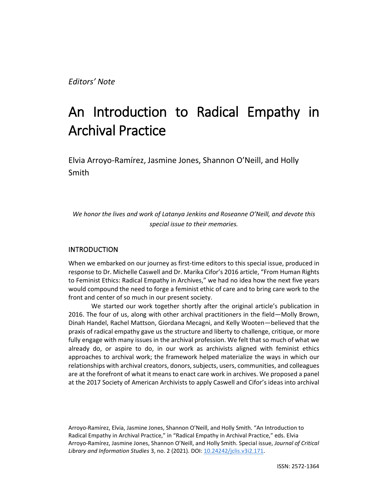*Editors' Note*

# An Introduction to Radical Empathy in Archival Practice

Elvia Arroyo-Ramírez, Jasmine Jones, Shannon O'Neill, and Holly Smith

*We honor the lives and work of Latanya Jenkins and Roseanne O'Neill, and devote this special issue to their memories.*

## INTRODUCTION

When we embarked on our journey as first-time editors to this special issue, produced in response to Dr. Michelle Caswell and Dr. Marika Cifor's 2016 article, "From Human Rights to Feminist Ethics: Radical Empathy in Archives," we had no idea how the next five years would compound the need to forge a feminist ethic of care and to bring care work to the front and center of so much in our present society.

We started our work together shortly after the original article's publication in 2016. The four of us, along with other archival practitioners in the field—Molly Brown, Dinah Handel, Rachel Mattson, Giordana Mecagni, and Kelly Wooten—believed that the praxis of radical empathy gave us the structure and liberty to challenge, critique, or more fully engage with many issues in the archival profession. We felt that so much of what we already do, or aspire to do, in our work as archivists aligned with feminist ethics approaches to archival work; the framework helped materialize the ways in which our relationships with archival creators, donors, subjects, users, communities, and colleagues are at the forefront of what it means to enact care work in archives. We proposed a panel at the 2017 Society of American Archivists to apply Caswell and Cifor's ideas into archival

Arroyo-Ramírez, Elvia, Jasmine Jones, Shannon O'Neill, and Holly Smith. "An Introduction to Radical Empathy in Archival Practice," in "Radical Empathy in Archival Practice," eds. Elvia Arroyo-Ramírez, Jasmine Jones, Shannon O'Neill, and Holly Smith. Special issue, *Journal of Critical Library and Information Studies* 3, no. 2 (2021). DOI: [10.24242/jclis.v3i2.171.](https://doi.org/10.24242/jclis.v3i2.171)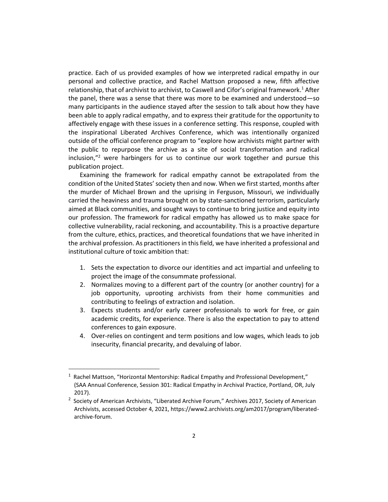practice. Each of us provided examples of how we interpreted radical empathy in our personal and collective practice, and Rachel Mattson proposed a new, fifth affective relationship, that of archivist to archivist, to Caswell and Cifor's original framework.<sup>1</sup> After the panel, there was a sense that there was more to be examined and understood—so many participants in the audience stayed after the session to talk about how they have been able to apply radical empathy, and to express their gratitude for the opportunity to affectively engage with these issues in a conference setting. This response, coupled with the inspirational Liberated Archives Conference, which was intentionally organized outside of the official conference program to "explore how archivists might partner with the public to repurpose the archive as a site of social transformation and radical inclusion, $v^2$  were harbingers for us to continue our work together and pursue this publication project.

Examining the framework for radical empathy cannot be extrapolated from the condition of the United States' society then and now. When we first started, months after the murder of Michael Brown and the uprising in Ferguson, Missouri, we individually carried the heaviness and trauma brought on by state-sanctioned terrorism, particularly aimed at Black communities, and sought ways to continue to bring justice and equity into our profession. The framework for radical empathy has allowed us to make space for collective vulnerability, racial reckoning, and accountability. This is a proactive departure from the culture, ethics, practices, and theoretical foundations that we have inherited in the archival profession. As practitioners in this field, we have inherited a professional and institutional culture of toxic ambition that:

- 1. Sets the expectation to divorce our identities and act impartial and unfeeling to project the image of the consummate professional.
- 2. Normalizes moving to a different part of the country (or another country) for a job opportunity, uprooting archivists from their home communities and contributing to feelings of extraction and isolation.
- 3. Expects students and/or early career professionals to work for free, or gain academic credits, for experience. There is also the expectation to pay to attend conferences to gain exposure.
- 4. Over-relies on contingent and term positions and low wages, which leads to job insecurity, financial precarity, and devaluing of labor.

<sup>&</sup>lt;sup>1</sup> Rachel Mattson, "Horizontal Mentorship: Radical Empathy and Professional Development," (SAA Annual Conference, Session 301: Radical Empathy in Archival Practice, Portland, OR, July 2017).

<sup>&</sup>lt;sup>2</sup> Society of American Archivists, "Liberated Archive Forum," Archives 2017, Society of American Archivists, accessed October 4, 2021, https://www2.archivists.org/am2017/program/liberatedarchive-forum.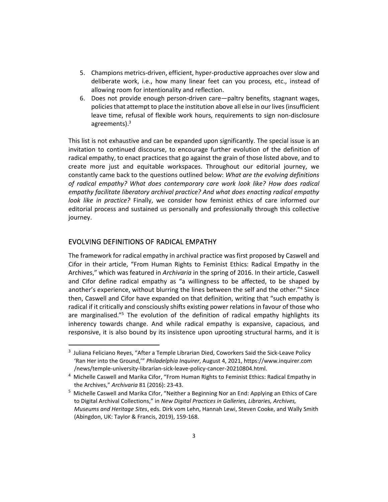- 5. Champions metrics-driven, efficient, hyper-productive approaches over slow and deliberate work, i.e., how many linear feet can you process, etc., instead of allowing room for intentionality and reflection.
- 6. Does not provide enough person-driven care—paltry benefits, stagnant wages, policies that attempt to place the institution above all else in our lives (insufficient leave time, refusal of flexible work hours, requirements to sign non-disclosure agreements).<sup>3</sup>

This list is not exhaustive and can be expanded upon significantly. The special issue is an invitation to continued discourse, to encourage further evolution of the definition of radical empathy, to enact practices that go against the grain of those listed above, and to create more just and equitable workspaces. Throughout our editorial journey, we constantly came back to the questions outlined below: *What are the evolving definitions of radical empathy? What does contemporary care work look like? How does radical empathy facilitate liberatory archival practice? And what does enacting radical empathy look like in practice?* Finally, we consider how feminist ethics of care informed our editorial process and sustained us personally and professionally through this collective journey.

## EVOLVING DEFINITIONS OF RADICAL EMPATHY

The framework for radical empathy in archival practice was first proposed by Caswell and Cifor in their article, "From Human Rights to Feminist Ethics: Radical Empathy in the Archives," which was featured in *Archivaria* in the spring of 2016. In their article, Caswell and Cifor define radical empathy as "a willingness to be affected, to be shaped by another's experience, without blurring the lines between the self and the other."<sup>4</sup> Since then, Caswell and Cifor have expanded on that definition, writing that "such empathy is radical if it critically and consciously shifts existing power relations in favour of those who are marginalised."<sup>5</sup> The evolution of the definition of radical empathy highlights its inherency towards change. And while radical empathy is expansive, capacious, and responsive, it is also bound by its insistence upon uprooting structural harms, and it is

<sup>&</sup>lt;sup>3</sup> Juliana Feliciano Reyes, "After a Temple Librarian Died, Coworkers Said the Sick-Leave Policy 'Ran Her into the Ground,'" *Philadelphia Inquirer*, August 4, 2021, https://www.inquirer.com /news/temple-university-librarian-sick-leave-policy-cancer-20210804.html.

<sup>&</sup>lt;sup>4</sup> Michelle Caswell and Marika Cifor, "From Human Rights to Feminist Ethics: Radical Empathy in the Archives," *Archivaria* 81 (2016): 23-43.

<sup>&</sup>lt;sup>5</sup> Michelle Caswell and Marika Cifor, "Neither a Beginning Nor an End: Applying an Ethics of Care to Digital Archival Collections," in *New Digital Practices in Galleries, Libraries, Archives, Museums and Heritage Sites*, eds. Dirk vom Lehn, Hannah Lewi, Steven Cooke, and Wally Smith (Abingdon, UK: Taylor & Francis, 2019), 159-168.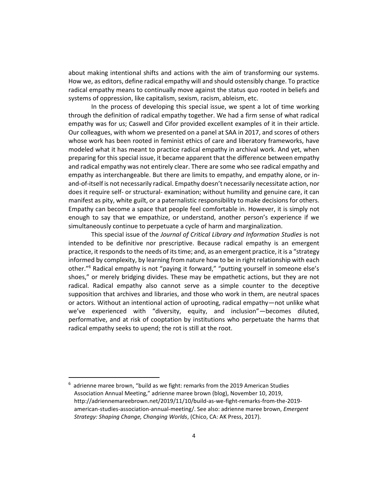about making intentional shifts and actions with the aim of transforming our systems. How we, as editors, define radical empathy will and should ostensibly change. To practice radical empathy means to continually move against the status quo rooted in beliefs and systems of oppression, like capitalism, sexism, racism, ableism, etc.

In the process of developing this special issue, we spent a lot of time working through the definition of radical empathy together. We had a firm sense of what radical empathy was for us; Caswell and Cifor provided excellent examples of it in their article. Our colleagues, with whom we presented on a panel at SAA in 2017, and scores of others whose work has been rooted in feminist ethics of care and liberatory frameworks, have modeled what it has meant to practice radical empathy in archival work. And yet, when preparing for this special issue, it became apparent that the difference between empathy and radical empathy was not entirely clear. There are some who see radical empathy and empathy as interchangeable. But there are limits to empathy, and empathy alone, or inand-of-itself is not necessarily radical. Empathy doesn't necessarily necessitate action, nor does it require self- or structural- examination; without humility and genuine care, it can manifest as pity, white guilt, or a paternalistic responsibility to make decisions for others. Empathy can become a space that people feel comfortable in. However, it is simply not enough to say that we empathize, or understand, another person's experience if we simultaneously continue to perpetuate a cycle of harm and marginalization.

This special issue of the *Journal of Critical Library and Information Studies* is not intended to be definitive nor prescriptive. Because radical empathy is an emergent practice, it responds to the needs of its time; and, as an emergent practice, it is a "strategy informed by complexity, by learning from nature how to be in right relationship with each other."<sup>6</sup> Radical empathy is not "paying it forward," "putting yourself in someone else's shoes," or merely bridging divides. These may be empathetic actions, but they are not radical. Radical empathy also cannot serve as a simple counter to the deceptive supposition that archives and libraries, and those who work in them, are neutral spaces or actors. Without an intentional action of uprooting, radical empathy—not unlike what we've experienced with "diversity, equity, and inclusion"—becomes diluted, performative, and at risk of cooptation by institutions who perpetuate the harms that radical empathy seeks to upend; the rot is still at the root.

 $^6$  adrienne maree brown, "build as we fight: remarks from the 2019 American Studies Association Annual Meeting," adrienne maree brown (blog), November 10, 2019, http://adriennemareebrown.net/2019/11/10/build-as-we-fight-remarks-from-the-2019 american-studies-association-annual-meeting/. See also: adrienne maree brown, *Emergent Strategy: Shaping Change, Changing Worlds*, (Chico, CA: AK Press, 2017).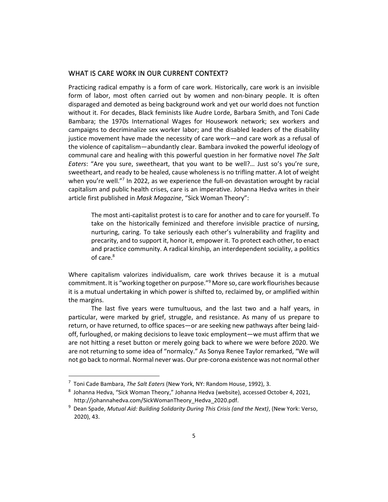## WHAT IS CARE WORK IN OUR CURRENT CONTEXT?

Practicing radical empathy is a form of care work. Historically, care work is an invisible form of labor, most often carried out by women and non-binary people. It is often disparaged and demoted as being background work and yet our world does not function without it. For decades, Black feminists like Audre Lorde, Barbara Smith, and Toni Cade Bambara; the 1970s International Wages for Housework network; sex workers and campaigns to decriminalize sex worker labor; and the disabled leaders of the disability justice movement have made the necessity of care work—and care work as a refusal of the violence of capitalism—abundantly clear. Bambara invoked the powerful ideology of communal care and healing with this powerful question in her formative novel *The Salt Eaters*: "Are you sure, sweetheart, that you want to be well?… Just so's you're sure, sweetheart, and ready to be healed, cause wholeness is no trifling matter. A lot of weight when you're well."<sup>7</sup> In 2022, as we experience the full-on devastation wrought by racial capitalism and public health crises, care is an imperative. Johanna Hedva writes in their article first published in *Mask Magazine*, "Sick Woman Theory":

The most anti-capitalist protest is to care for another and to care for yourself. To take on the historically feminized and therefore invisible practice of nursing, nurturing, caring. To take seriously each other's vulnerability and fragility and precarity, and to support it, honor it, empower it. To protect each other, to enact and practice community. A radical kinship, an interdependent sociality, a politics of care.<sup>8</sup>

Where capitalism valorizes individualism, care work thrives because it is a mutual commitment. It is "working together on purpose."<sup>9</sup> More so, care work flourishes because it is a mutual undertaking in which power is shifted to, reclaimed by, or amplified within the margins.

The last five years were tumultuous, and the last two and a half years, in particular, were marked by grief, struggle, and resistance. As many of us prepare to return, or have returned, to office spaces—or are seeking new pathways after being laidoff, furloughed, or making decisions to leave toxic employment—we must affirm that we are not hitting a reset button or merely going back to where we were before 2020. We are not returning to some idea of "normalcy." As Sonya Renee Taylor remarked, "We will not go back to normal. Normal never was. Our pre-corona existence was not normal other

<sup>7</sup> Toni Cade Bambara, *The Salt Eaters* (New York, NY: Random House, 1992), 3.

<sup>&</sup>lt;sup>8</sup> Johanna Hedva, "Sick Woman Theory," Johanna Hedva (website), accessed October 4, 2021, http://johannahedva.com/SickWomanTheory\_Hedva\_2020.pdf.

<sup>9</sup> Dean Spade, *Mutual Aid: Building Solidarity During This Crisis (and the Next)*, (New York: Verso, 2020), 43.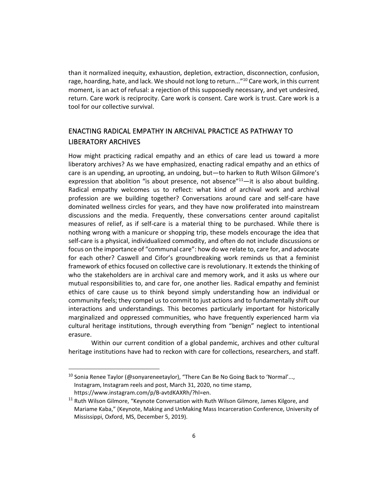than it normalized inequity, exhaustion, depletion, extraction, disconnection, confusion, rage, hoarding, hate, and lack. We should not long to return..."<sup>10</sup> Care work, in this current moment, is an act of refusal: a rejection of this supposedly necessary, and yet undesired, return. Care work is reciprocity. Care work is consent. Care work is trust. Care work is a tool for our collective survival.

# ENACTING RADICAL EMPATHY IN ARCHIVAL PRACTICE AS PATHWAY TO LIBERATORY ARCHIVES

How might practicing radical empathy and an ethics of care lead us toward a more liberatory archives? As we have emphasized, enacting radical empathy and an ethics of care is an upending, an uprooting, an undoing, but—to harken to Ruth Wilson Gilmore's expression that abolition "is about presence, not absence" $11$ —it is also about building. Radical empathy welcomes us to reflect: what kind of archival work and archival profession are we building together? Conversations around care and self-care have dominated wellness circles for years, and they have now proliferated into mainstream discussions and the media. Frequently, these conversations center around capitalist measures of relief, as if self-care is a material thing to be purchased. While there is nothing wrong with a manicure or shopping trip, these models encourage the idea that self-care is a physical, individualized commodity, and often do not include discussions or focus on the importance of "communal care": how do we relate to, care for, and advocate for each other? Caswell and Cifor's groundbreaking work reminds us that a feminist framework of ethics focused on collective care is revolutionary. It extends the thinking of who the stakeholders are in archival care and memory work, and it asks us where our mutual responsibilities to, and care for, one another lies. Radical empathy and feminist ethics of care cause us to think beyond simply understanding how an individual or community feels; they compel us to commit to just actions and to fundamentally shift our interactions and understandings. This becomes particularly important for historically marginalized and oppressed communities, who have frequently experienced harm via cultural heritage institutions, through everything from "benign" neglect to intentional erasure.

Within our current condition of a global pandemic, archives and other cultural heritage institutions have had to reckon with care for collections, researchers, and staff.

 $10$  Sonia Renee Taylor (@sonyareneetaylor), "There Can Be No Going Back to 'Normal'..., Instagram, Instagram reels and post, March 31, 2020, no time stamp, https://www.instagram.com/p/B-avtdKAXRh/?hl=en.

<sup>&</sup>lt;sup>11</sup> Ruth Wilson Gilmore, "Keynote Conversation with Ruth Wilson Gilmore, James Kilgore, and Mariame Kaba," (Keynote, Making and UnMaking Mass Incarceration Conference, University of Mississippi, Oxford, MS, December 5, 2019).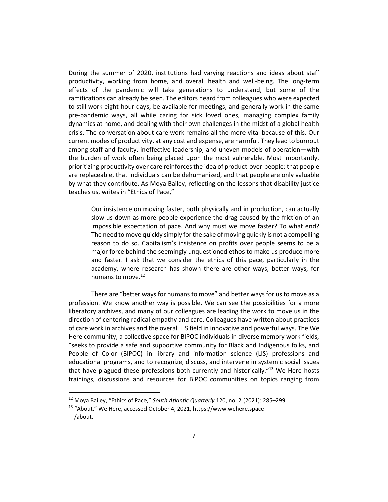During the summer of 2020, institutions had varying reactions and ideas about staff productivity, working from home, and overall health and well-being. The long-term effects of the pandemic will take generations to understand, but some of the ramifications can already be seen. The editors heard from colleagues who were expected to still work eight-hour days, be available for meetings, and generally work in the same pre-pandemic ways, all while caring for sick loved ones, managing complex family dynamics at home, and dealing with their own challenges in the midst of a global health crisis. The conversation about care work remains all the more vital because of this. Our current modes of productivity, at any cost and expense, are harmful. They lead to burnout among staff and faculty, ineffective leadership, and uneven models of operation—with the burden of work often being placed upon the most vulnerable. Most importantly, prioritizing productivity over care reinforces the idea of product-over-people: that people are replaceable, that individuals can be dehumanized, and that people are only valuable by what they contribute. As Moya Bailey, reflecting on the lessons that disability justice teaches us, writes in "Ethics of Pace,"

Our insistence on moving faster, both physically and in production, can actually slow us down as more people experience the drag caused by the friction of an impossible expectation of pace. And why must we move faster? To what end? The need to move quickly simply for the sake of moving quickly is not a compelling reason to do so. Capitalism's insistence on profits over people seems to be a major force behind the seemingly unquestioned ethos to make us produce more and faster. I ask that we consider the ethics of this pace, particularly in the academy, where research has shown there are other ways, better ways, for humans to move.<sup>12</sup>

There are "better ways for humans to move" and better ways for us to move as a profession. We know another way is possible. We can see the possibilities for a more liberatory archives, and many of our colleagues are leading the work to move us in the direction of centering radical empathy and care. Colleagues have written about practices of care work in archives and the overall LIS field in innovative and powerful ways. The We Here community, a collective space for BIPOC individuals in diverse memory work fields, "seeks to provide a safe and supportive community for Black and Indigenous folks, and People of Color (BIPOC) in library and information science (LIS) professions and educational programs, and to recognize, discuss, and intervene in systemic social issues that have plagued these professions both currently and historically."<sup>13</sup> We Here hosts trainings, discussions and resources for BIPOC communities on topics ranging from

<sup>12</sup> Moya Bailey, "Ethics of Pace," *South Atlantic Quarterly* 120, no. 2 (2021): 285–299.

<sup>&</sup>lt;sup>13</sup> "About," We Here, accessed October 4, 2021, https://www.wehere.space /about.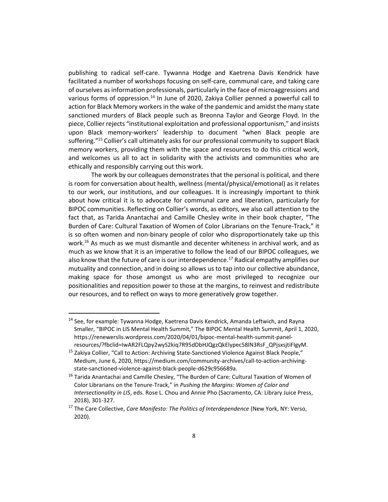publishing to radical self-care. Tywanna Hodge and Kaetrena Davis Kendrick have facilitated a number of workshops focusing on self-care, communal care, and taking care of ourselves as information professionals, particularly in the face of microaggressions and various forms of oppression.<sup>14</sup> In June of 2020, Zakiya Collier penned a powerful call to action for Black Memory workers in the wake of the pandemic and amidst the many state sanctioned murders of Black people such as Breonna Taylor and George Floyd. In the piece, Collier rejects "institutional exploitation and professional opportunism," and insists upon Black memory-workers' leadership to document "when Black people are suffering."<sup>15</sup> Collier's call ultimately asks for our professional community to support Black memory workers, providing them with the space and resources to do this critical work, and welcomes us all to act in solidarity with the activists and communities who are ethically and responsibly carrying out this work.

The work by our colleagues demonstrates that the personal is political, and there is room for conversation about health, wellness (mental/physical/emotional) as it relates to our work, our institutions, and our colleagues. It is increasingly important to think about how critical it is to advocate for communal care and liberation, particularly for BIPOC communities. Reflecting on Collier's words, as editors, we also call attention to the fact that, as Tarida Anantachai and Camille Chesley write in their book chapter, "The Burden of Care: Cultural Taxation of Women of Color Librarians on the Tenure-Track," it is so often women and non-binary people of color who disproportionately take up this work.<sup>16</sup> As much as we must dismantle and decenter whiteness in archival work, and as much as we know that it is an imperative to follow the lead of our BIPOC colleagues, we also know that the future of care is our interdependence.<sup>17</sup> Radical empathy amplifies our mutuality and connection, and in doing so allows us to tap into our collective abundance, making space for those amongst us who are most privileged to recognize our positionalities and reposition power to those at the margins, to reinvest and redistribute our resources, and to reflect on ways to more generatively grow together.

<sup>&</sup>lt;sup>14</sup> See, for example: Tywanna Hodge, Kaetrena Davis Kendrick, Amanda Leftwich, and Rayna Smaller, "BIPOC in LIS Mental Health Summit," The BIPOC Mental Health Summit, April 1, 2020, https://renewerslis.wordpress.com/2020/04/01/bipoc-mental-health-summit-panelresources/?fbclid=IwAR2FLQpy2wyS2kiq7R95dDbHJQgzQkElypec58lN3RsF\_QPjsxsjtiFIgyM.

<sup>&</sup>lt;sup>15</sup> Zakiya Collier, "Call to Action: Archiving State-Sanctioned Violence Against Black People," Medium, June 6, 2020, https://medium.com/community-archives/call-to-action-archivingstate-sanctioned-violence-against-black-people-d629c956689a.

<sup>&</sup>lt;sup>16</sup> Tarida Anantachai and Camille Chesley, "The Burden of Care: Cultural Taxation of Women of Color Librarians on the Tenure-Track," in *Pushing the Margins: Women of Color and Intersectionality in LIS*, eds. Rose L. Chou and Annie Pho (Sacramento, CA: Library Juice Press, 2018), 301-327.

<sup>17</sup> The Care Collective, *Care Manifesto: The Politics of Interdependence* (New York, NY: Verso, 2020).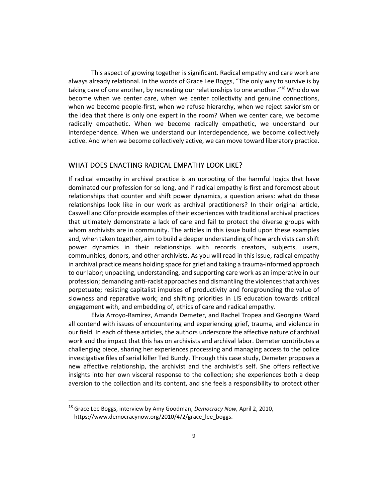This aspect of growing together is significant. Radical empathy and care work are always already relational. In the words of Grace Lee Boggs, "The only way to survive is by taking care of one another, by recreating our relationships to one another."<sup>18</sup> Who do we become when we center care, when we center collectivity and genuine connections, when we become people-first, when we refuse hierarchy, when we reject saviorism or the idea that there is only one expert in the room? When we center care, we become radically empathetic. When we become radically empathetic, we understand our interdependence. When we understand our interdependence, we become collectively active. And when we become collectively active, we can move toward liberatory practice.

## WHAT DOES ENACTING RADICAL EMPATHY LOOK LIKE?

If radical empathy in archival practice is an uprooting of the harmful logics that have dominated our profession for so long, and if radical empathy is first and foremost about relationships that counter and shift power dynamics, a question arises: what do these relationships look like in our work as archival practitioners? In their original article, Caswell and Cifor provide examples of their experiences with traditional archival practices that ultimately demonstrate a lack of care and fail to protect the diverse groups with whom archivists are in community. The articles in this issue build upon these examples and, when taken together, aim to build a deeper understanding of how archivists can shift power dynamics in their relationships with records creators, subjects, users, communities, donors, and other archivists. As you will read in this issue, radical empathy in archival practice means holding space for grief and taking a trauma-informed approach to our labor; unpacking, understanding, and supporting care work as an imperative in our profession; demanding anti-racist approaches and dismantling the violences that archives perpetuate; resisting capitalist impulses of productivity and foregrounding the value of slowness and reparative work; and shifting priorities in LIS education towards critical engagement with, and embedding of, ethics of care and radical empathy.

Elvia Arroyo-Ramírez, Amanda Demeter, and Rachel Tropea and Georgina Ward all contend with issues of encountering and experiencing grief, trauma, and violence in our field. In each of these articles, the authors underscore the affective nature of archival work and the impact that this has on archivists and archival labor. Demeter contributes a challenging piece, sharing her experiences processing and managing access to the police investigative files of serial killer Ted Bundy. Through this case study, Demeter proposes a new affective relationship, the archivist and the archivist's self. She offers reflective insights into her own visceral response to the collection; she experiences both a deep aversion to the collection and its content, and she feels a responsibility to protect other

<sup>18</sup> Grace Lee Boggs, interview by Amy Goodman, *Democracy Now,* April 2, 2010, https://www.democracynow.org/2010/4/2/grace\_lee\_boggs.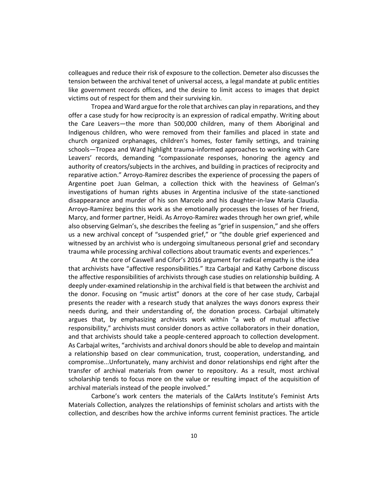colleagues and reduce their risk of exposure to the collection. Demeter also discusses the tension between the archival tenet of universal access, a legal mandate at public entities like government records offices, and the desire to limit access to images that depict victims out of respect for them and their surviving kin.

Tropea and Ward argue for the role that archives can play in reparations, and they offer a case study for how reciprocity is an expression of radical empathy. Writing about the Care Leavers—the more than 500,000 children, many of them Aboriginal and Indigenous children, who were removed from their families and placed in state and church organized orphanages, children's homes, foster family settings, and training schools—Tropea and Ward highlight trauma-informed approaches to working with Care Leavers' records, demanding "compassionate responses, honoring the agency and authority of creators/subjects in the archives, and building in practices of reciprocity and reparative action." Arroyo-Ramírez describes the experience of processing the papers of Argentine poet Juan Gelman, a collection thick with the heaviness of Gelman's investigations of human rights abuses in Argentina inclusive of the state-sanctioned disappearance and murder of his son Marcelo and his daughter-in-law Maria Claudia. Arroyo-Ramírez begins this work as she emotionally processes the losses of her friend, Marcy, and former partner, Heidi. As Arroyo-Ramírez wades through her own grief, while also observing Gelman's, she describes the feeling as "grief in suspension," and she offers us a new archival concept of "suspended grief," or "the double grief experienced and witnessed by an archivist who is undergoing simultaneous personal grief and secondary trauma while processing archival collections about traumatic events and experiences."

At the core of Caswell and Cifor's 2016 argument for radical empathy is the idea that archivists have "affective responsibilities." Itza Carbajal and Kathy Carbone discuss the affective responsibilities of archivists through case studies on relationship building. A deeply under-examined relationship in the archival field is that between the archivist and the donor. Focusing on "music artist" donors at the core of her case study, Carbajal presents the reader with a research study that analyzes the ways donors express their needs during, and their understanding of, the donation process. Carbajal ultimately argues that, by emphasizing archivists work within "a web of mutual affective responsibility," archivists must consider donors as active collaborators in their donation, and that archivists should take a people-centered approach to collection development. As Carbajal writes, "archivists and archival donors should be able to develop and maintain a relationship based on clear communication, trust, cooperation, understanding, and compromise...Unfortunately, many archivist and donor relationships end right after the transfer of archival materials from owner to repository. As a result, most archival scholarship tends to focus more on the value or resulting impact of the acquisition of archival materials instead of the people involved."

Carbone's work centers the materials of the CalArts Institute's Feminist Arts Materials Collection, analyzes the relationships of feminist scholars and artists with the collection, and describes how the archive informs current feminist practices. The article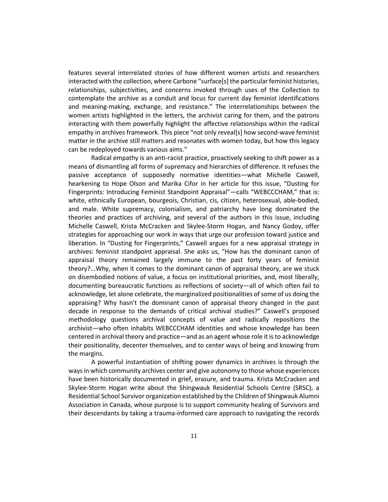features several interrelated stories of how different women artists and researchers interacted with the collection, where Carbone "surface[s] the particular feminist histories, relationships, subjectivities, and concerns invoked through uses of the Collection to contemplate the archive as a conduit and locus for current day feminist identifications and meaning-making, exchange, and resistance." The interrelationships between the women artists highlighted in the letters, the archivist caring for them, and the patrons interacting with them powerfully highlight the affective relationships within the radical empathy in archives framework. This piece "not only reveal[s] how second-wave feminist matter in the archive still matters and resonates with women today, but how this legacy can be redeployed towards various aims."

Radical empathy is an anti-racist practice, proactively seeking to shift power as a means of dismantling all forms of supremacy and hierarchies of difference. It refuses the passive acceptance of supposedly normative identities—what Michelle Caswell, hearkening to Hope Olson and Marika Cifor in her article for this issue, "Dusting for Fingerprints: Introducing Feminist Standpoint Appraisal"—calls "WEBCCCHAM," that is: white, ethnically European, bourgeois, Christian, cis, citizen, heterosexual, able-bodied, and male. White supremacy, colonialism, and patriarchy have long dominated the theories and practices of archiving, and several of the authors in this issue, including Michelle Caswell, Krista McCracken and Skylee-Storm Hogan, and Nancy Godoy, offer strategies for approaching our work in ways that urge our profession toward justice and liberation. In "Dusting for Fingerprints," Caswell argues for a new appraisal strategy in archives: feminist standpoint appraisal. She asks us, "How has the dominant canon of appraisal theory remained largely immune to the past forty years of feminist theory?...Why, when it comes to the dominant canon of appraisal theory, are we stuck on disembodied notions of value, a focus on institutional priorities, and, most liberally, documenting bureaucratic functions as reflections of society—all of which often fail to acknowledge, let alone celebrate, the marginalized positionalities of some of us doing the appraising? Why hasn't the dominant canon of appraisal theory changed in the past decade in response to the demands of critical archival studies?" Caswell's proposed methodology questions archival concepts of value and radically repositions the archivist—who often inhabits WEBCCCHAM identities and whose knowledge has been centered in archival theory and practice—and as an agent whose role it is to acknowledge their positionality, decenter themselves, and to center ways of being and knowing from the margins.

A powerful instantiation of shifting power dynamics in archives is through the ways in which community archives center and give autonomy to those whose experiences have been historically documented in grief, erasure, and trauma. Krista McCracken and Skylee-Storm Hogan write about the Shingwauk Residential Schools Centre (SRSC), a Residential School Survivor organization established by the Children of Shingwauk Alumni Association in Canada, whose purpose is to support community healing of Survivors and their descendants by taking a trauma-informed care approach to navigating the records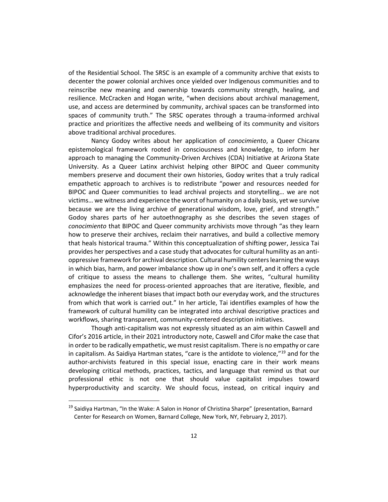of the Residential School. The SRSC is an example of a community archive that exists to decenter the power colonial archives once yielded over Indigenous communities and to reinscribe new meaning and ownership towards community strength, healing, and resilience. McCracken and Hogan write, "when decisions about archival management, use, and access are determined by community, archival spaces can be transformed into spaces of community truth." The SRSC operates through a trauma-informed archival practice and prioritizes the affective needs and wellbeing of its community and visitors above traditional archival procedures.

Nancy Godoy writes about her application of *conocimiento*, a Queer Chicanx epistemological framework rooted in consciousness and knowledge, to inform her approach to managing the Community-Driven Archives (CDA) Initiative at Arizona State University. As a Queer Latinx archivist helping other BIPOC and Queer community members preserve and document their own histories, Godoy writes that a truly radical empathetic approach to archives is to redistribute "power and resources needed for BIPOC and Queer communities to lead archival projects and storytelling… we are not victims… we witness and experience the worst of humanity on a daily basis, yet we survive because we are the living archive of generational wisdom, love, grief, and strength." Godoy shares parts of her autoethnography as she describes the seven stages of *conocimiento* that BIPOC and Queer community archivists move through "as they learn how to preserve their archives, reclaim their narratives, and build a collective memory that heals historical trauma." Within this conceptualization of shifting power, Jessica Tai provides her perspectives and a case study that advocates for cultural humility as an antioppressive framework for archival description. Cultural humility centers learning the ways in which bias, harm, and power imbalance show up in one's own self, and it offers a cycle of critique to assess the means to challenge them. She writes, "cultural humility emphasizes the need for process-oriented approaches that are iterative, flexible, and acknowledge the inherent biases that impact both our everyday work, and the structures from which that work is carried out." In her article, Tai identifies examples of how the framework of cultural humility can be integrated into archival descriptive practices and workflows, sharing transparent, community-centered description initiatives.

Though anti-capitalism was not expressly situated as an aim within Caswell and Cifor's 2016 article, in their 2021 introductory note, Caswell and Cifor make the case that in order to be radically empathetic, we must resist capitalism. There is no empathy or care in capitalism. As Saidiya Hartman states, "care is the antidote to violence,"<sup>19</sup> and for the author-archivists featured in this special issue, enacting care in their work means developing critical methods, practices, tactics, and language that remind us that our professional ethic is not one that should value capitalist impulses toward hyperproductivity and scarcity. We should focus, instead, on critical inquiry and

<sup>&</sup>lt;sup>19</sup> Saidiya Hartman, "In the Wake: A Salon in Honor of Christina Sharpe" (presentation, Barnard Center for Research on Women, Barnard College, New York, NY, February 2, 2017).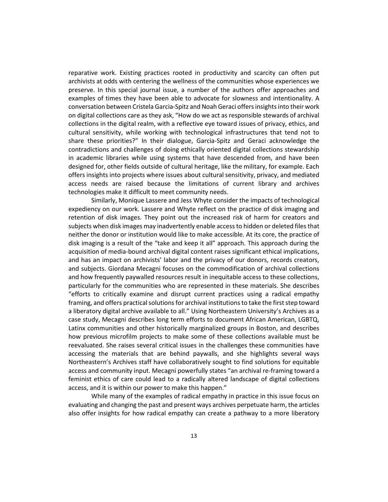reparative work. Existing practices rooted in productivity and scarcity can often put archivists at odds with centering the wellness of the communities whose experiences we preserve. In this special journal issue, a number of the authors offer approaches and examples of times they have been able to advocate for slowness and intentionality. A conversation between Cristela Garcia-Spitz and Noah Geraci offers insights into their work on digital collections care as they ask, "How do we act as responsible stewards of archival collections in the digital realm, with a reflective eye toward issues of privacy, ethics, and cultural sensitivity, while working with technological infrastructures that tend not to share these priorities?" In their dialogue, Garcia-Spitz and Geraci acknowledge the contradictions and challenges of doing ethically oriented digital collections stewardship in academic libraries while using systems that have descended from, and have been designed for, other fields outside of cultural heritage, like the military, for example. Each offers insights into projects where issues about cultural sensitivity, privacy, and mediated access needs are raised because the limitations of current library and archives technologies make it difficult to meet community needs.

Similarly, Monique Lassere and Jess Whyte consider the impacts of technological expediency on our work. Lassere and Whyte reflect on the practice of disk imaging and retention of disk images. They point out the increased risk of harm for creators and subjects when disk images may inadvertently enable access to hidden or deleted files that neither the donor or institution would like to make accessible. At its core, the practice of disk imaging is a result of the "take and keep it all" approach. This approach during the acquisition of media-bound archival digital content raises significant ethical implications, and has an impact on archivists' labor and the privacy of our donors, records creators, and subjects. Giordana Mecagni focuses on the commodification of archival collections and how frequently paywalled resources result in inequitable access to these collections, particularly for the communities who are represented in these materials. She describes "efforts to critically examine and disrupt current practices using a radical empathy framing, and offers practical solutions for archival institutions to take the first step toward a liberatory digital archive available to all." Using Northeastern University's Archives as a case study, Mecagni describes long term efforts to document African American, LGBTQ, Latinx communities and other historically marginalized groups in Boston, and describes how previous microfilm projects to make some of these collections available must be reevaluated. She raises several critical issues in the challenges these communities have accessing the materials that are behind paywalls, and she highlights several ways Northeastern's Archives staff have collaboratively sought to find solutions for equitable access and community input. Mecagni powerfully states "an archival re-framing toward a feminist ethics of care could lead to a radically altered landscape of digital collections access, and it is within our power to make this happen."

While many of the examples of radical empathy in practice in this issue focus on evaluating and changing the past and present ways archives perpetuate harm, the articles also offer insights for how radical empathy can create a pathway to a more liberatory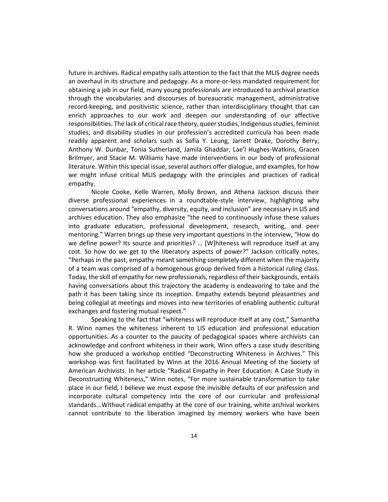future in archives. Radical empathy calls attention to the fact that the MLIS degree needs an overhaul in its structure and pedagogy. As a more-or-less mandated requirement for obtaining a job in our field, many young professionals are introduced to archival practice through the vocabularies and discourses of bureaucratic management, administrative record-keeping, and positivistic science, rather than interdisciplinary thought that can enrich approaches to our work and deepen our understanding of our affective responsibilities. The lack of critical race theory, queer studies, Indigenous studies, feminist studies, and disability studies in our profession's accredited curricula has been made readily apparent and scholars such as Sofia Y. Leung, Jarrett Drake, Dorothy Berry, Anthony W. Dunbar, Tonia Sutherland, Jamila Ghaddar, Lae'l Hughes-Watkins, Gracen Brilmyer, and Stacie M. Williams have made interventions in our body of professional literature. Within this special issue, several authors offer dialogue, and examples, for how we might infuse critical MLIS pedagogy with the principles and practices of radical empathy.

Nicole Cooke, Kelle Warren, Molly Brown, and Athena Jackson discuss their diverse professional experiences in a roundtable-style interview, highlighting why conversations around "empathy, diversity, equity, and inclusion" are necessary in LIS and archives education. They also emphasize "the need to continuously infuse these values into graduate education, professional development, research, writing, and peer mentoring." Warren brings up these very important questions in the interview, "How do we define power? Its source and priorities? … [W]hiteness will reproduce itself at any cost. So how do we get to the liberatory aspects of power?" Jackson critically notes, "Perhaps in the past, empathy meant something completely different when the majority of a team was comprised of a homogenous group derived from a historical ruling class. Today, the skill of empathy for new professionals, regardless of their backgrounds, entails having conversations about this trajectory the academy is endeavoring to take and the path it has been taking since its inception. Empathy extends beyond pleasantries and being collegial at meetings and moves into new territories of enabling authentic cultural exchanges and fostering mutual respect."

Speaking to the fact that "whiteness will reproduce itself at any cost," Samantha R. Winn names the whiteness inherent to LIS education and professional education opportunities. As a counter to the paucity of pedagogical spaces where archivists can acknowledge and confront whiteness in their work, Winn offers a case study describing how she produced a workshop entitled "Deconstructing Whiteness in Archives." This workshop was first facilitated by Winn at the 2016 Annual Meeting of the Society of American Archivists. In her article "Radical Empathy in Peer Education: A Case Study in Deconstructing Whiteness," Winn notes, "For more sustainable transformation to take place in our field, I believe we must expose the invisible defaults of our profession and incorporate cultural competency into the core of our curricular and professional standards...Without radical empathy at the core of our training, white archival workers cannot contribute to the liberation imagined by memory workers who have been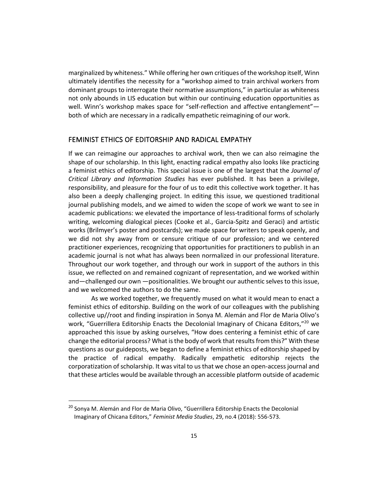marginalized by whiteness." While offering her own critiques of the workshop itself, Winn ultimately identifies the necessity for a "workshop aimed to train archival workers from dominant groups to interrogate their normative assumptions," in particular as whiteness not only abounds in LIS education but within our continuing education opportunities as well. Winn's workshop makes space for "self-reflection and affective entanglement" both of which are necessary in a radically empathetic reimagining of our work.

## FEMINIST ETHICS OF EDITORSHIP AND RADICAL EMPATHY

If we can reimagine our approaches to archival work, then we can also reimagine the shape of our scholarship. In this light, enacting radical empathy also looks like practicing a feminist ethics of editorship. This special issue is one of the largest that the *Journal of Critical Library and Information Studies* has ever published. It has been a privilege, responsibility, and pleasure for the four of us to edit this collective work together. It has also been a deeply challenging project. In editing this issue, we questioned traditional journal publishing models, and we aimed to widen the scope of work we want to see in academic publications: we elevated the importance of less-traditional forms of scholarly writing, welcoming dialogical pieces (Cooke et al., Garcia-Spitz and Geraci) and artistic works (Brilmyer's poster and postcards); we made space for writers to speak openly, and we did not shy away from or censure critique of our profession; and we centered practitioner experiences, recognizing that opportunities for practitioners to publish in an academic journal is not what has always been normalized in our professional literature. Throughout our work together, and through our work in support of the authors in this issue, we reflected on and remained cognizant of representation, and we worked within and—challenged our own —positionalities. We brought our authentic selves to this issue, and we welcomed the authors to do the same.

As we worked together, we frequently mused on what it would mean to enact a feminist ethics of editorship. Building on the work of our colleagues with the publishing collective up//root and finding inspiration in Sonya M. Alemán and Flor de Maria Olivo's work, "Guerrillera Editorship Enacts the Decolonial Imaginary of Chicana Editors,"<sup>20</sup> we approached this issue by asking ourselves, "How does centering a feminist ethic of care change the editorial process? What is the body of work that results from this?" With these questions as our guideposts, we began to define a feminist ethics of editorship shaped by the practice of radical empathy. Radically empathetic editorship rejects the corporatization of scholarship. It was vital to us that we chose an open-access journal and that these articles would be available through an accessible platform outside of academic

<sup>&</sup>lt;sup>20</sup> Sonya M. Alemán and Flor de Maria Olivo, "Guerrillera Editorship Enacts the Decolonial Imaginary of Chicana Editors," *Feminist Media Studies*, 29, no.4 (2018): 556-573.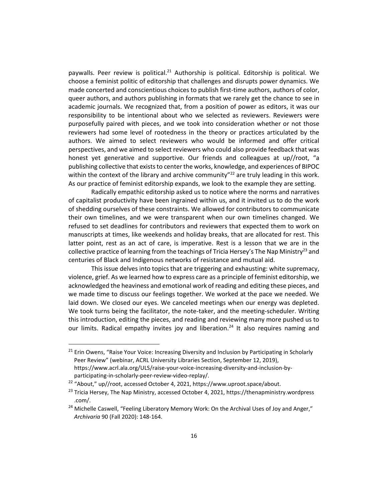paywalls. Peer review is political.<sup>21</sup> Authorship is political. Editorship is political. We choose a feminist politic of editorship that challenges and disrupts power dynamics. We made concerted and conscientious choices to publish first-time authors, authors of color, queer authors, and authors publishing in formats that we rarely get the chance to see in academic journals. We recognized that, from a position of power as editors, it was our responsibility to be intentional about who we selected as reviewers. Reviewers were purposefully paired with pieces, and we took into consideration whether or not those reviewers had some level of rootedness in the theory or practices articulated by the authors. We aimed to select reviewers who would be informed and offer critical perspectives, and we aimed to select reviewers who could also provide feedback that was honest yet generative and supportive. Our friends and colleagues at up//root, "a publishing collective that exists to center the works, knowledge, and experiences of BIPOC within the context of the library and archive community"<sup>22</sup> are truly leading in this work. As our practice of feminist editorship expands, we look to the example they are setting.

Radically empathic editorship asked us to notice where the norms and narratives of capitalist productivity have been ingrained within us, and it invited us to do the work of shedding ourselves of these constraints. We allowed for contributors to communicate their own timelines, and we were transparent when our own timelines changed. We refused to set deadlines for contributors and reviewers that expected them to work on manuscripts at times, like weekends and holiday breaks, that are allocated for rest. This latter point, rest as an act of care, is imperative. Rest is a lesson that we are in the collective practice of learning from the teachings of Tricia Hersey's The Nap Ministry<sup>23</sup> and centuries of Black and Indigenous networks of resistance and mutual aid.

This issue delves into topics that are triggering and exhausting: white supremacy, violence, grief. As we learned how to express care as a principle of feminist editorship, we acknowledged the heaviness and emotional work of reading and editing these pieces, and we made time to discuss our feelings together. We worked at the pace we needed. We laid down. We closed our eyes. We canceled meetings when our energy was depleted. We took turns being the facilitator, the note-taker, and the meeting-scheduler. Writing this introduction, editing the pieces, and reading and reviewing many more pushed us to our limits. Radical empathy invites joy and liberation.<sup>24</sup> It also requires naming and

<sup>&</sup>lt;sup>21</sup> Erin Owens, "Raise Your Voice: Increasing Diversity and Inclusion by Participating in Scholarly Peer Review" (webinar, ACRL University Libraries Section, September 12, 2019), https://www.acrl.ala.org/ULS/raise-your-voice-increasing-diversity-and-inclusion-byparticipating-in-scholarly-peer-review-video-replay/.

<sup>&</sup>lt;sup>22</sup> "About," up//root, accessed October 4, 2021, https://www.uproot.space/about.

 $^{23}$  Tricia Hersey, The Nap Ministry, accessed October 4, 2021, https://thenapministry.wordpress .com/.

<sup>&</sup>lt;sup>24</sup> Michelle Caswell, "Feeling Liberatory Memory Work: On the Archival Uses of Joy and Anger," *Archivaria* 90 (Fall 2020): 148-164.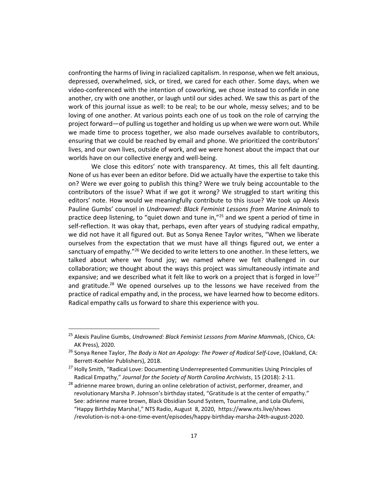confronting the harms of living in racialized capitalism. In response, when we felt anxious, depressed, overwhelmed, sick, or tired, we cared for each other. Some days, when we video-conferenced with the intention of coworking, we chose instead to confide in one another, cry with one another, or laugh until our sides ached. We saw this as part of the work of this journal issue as well: to be real; to be our whole, messy selves; and to be loving of one another. At various points each one of us took on the role of carrying the project forward—of pulling us together and holding us up when we were worn out. While we made time to process together, we also made ourselves available to contributors, ensuring that we could be reached by email and phone. We prioritized the contributors' lives, and our own lives, outside of work, and we were honest about the impact that our worlds have on our collective energy and well-being.

We close this editors' note with transparency. At times, this all felt daunting. None of us has ever been an editor before. Did we actually have the expertise to take this on? Were we ever going to publish this thing? Were we truly being accountable to the contributors of the issue? What if we got it wrong? We struggled to start writing this editors' note. How would we meaningfully contribute to this issue? We took up Alexis Pauline Gumbs' counsel in *Undrowned: Black Feminist Lessons from Marine Animals* to practice deep listening, to "quiet down and tune in,"<sup>25</sup> and we spent a period of time in self-reflection. It was okay that, perhaps, even after years of studying radical empathy, we did not have it all figured out. But as Sonya Renee Taylor writes, "When we liberate ourselves from the expectation that we must have all things figured out, we enter a sanctuary of empathy."<sup>26</sup> We decided to write letters to one another. In these letters, we talked about where we found joy; we named where we felt challenged in our collaboration; we thought about the ways this project was simultaneously intimate and expansive; and we described what it felt like to work on a project that is forged in love $^{27}$ and gratitude.<sup>28</sup> We opened ourselves up to the lessons we have received from the practice of radical empathy and, in the process, we have learned how to become editors. Radical empathy calls us forward to share this experience with you.

<sup>25</sup> Alexis Pauline Gumbs, *Undrowned: Black Feminist Lessons from Marine Mammals*, (Chico, CA: AK Press), 2020.

<sup>26</sup> Sonya Renee Taylor, *The Body is Not an Apology: The Power of Radical Self-Love*, (Oakland, CA: Berrett-Koehler Publishers), 2018.

<sup>&</sup>lt;sup>27</sup> Holly Smith, "Radical Love: Documenting Underrepresented Communities Using Principles of Radical Empathy," *Journal for the Society of North Carolina Archivists*, 15 (2018): 2-11.

 $28$  adrienne maree brown, during an online celebration of activist, performer, dreamer, and revolutionary Marsha P. Johnson's birthday stated, "Gratitude is at the center of empathy." See: adrienne maree brown, Black Obsidian Sound System, Tourmaline, and Lola Olufemi, "Happy Birthday Marsha!," NTS Radio, August 8, 2020, https://www.nts.live/shows /revolution-is-not-a-one-time-event/episodes/happy-birthday-marsha-24th-august-2020.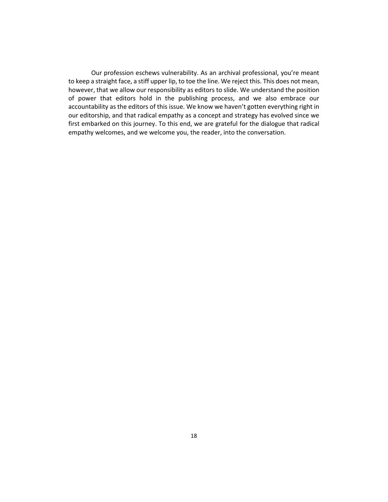Our profession eschews vulnerability. As an archival professional, you're meant to keep a straight face, a stiff upper lip, to toe the line. We reject this. This does not mean, however, that we allow our responsibility as editors to slide. We understand the position of power that editors hold in the publishing process, and we also embrace our accountability as the editors of this issue. We know we haven't gotten everything right in our editorship, and that radical empathy as a concept and strategy has evolved since we first embarked on this journey. To this end, we are grateful for the dialogue that radical empathy welcomes, and we welcome you, the reader, into the conversation.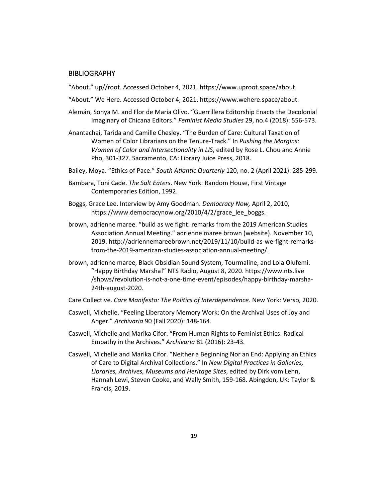#### **BIBLIOGRAPHY**

"About." up//root. Accessed October 4, 2021. https://www.uproot.space/about.

- "About." We Here. Accessed October 4, 2021. https://www.wehere.space/about.
- Alemán, Sonya M. and Flor de Maria Olivo. "Guerrillera Editorship Enacts the Decolonial Imaginary of Chicana Editors." *Feminist Media Studies* 29, no.4 (2018): 556-573.
- Anantachai, Tarida and Camille Chesley. "The Burden of Care: Cultural Taxation of Women of Color Librarians on the Tenure-Track." In *Pushing the Margins: Women of Color and Intersectionality in LIS*, edited by Rose L. Chou and Annie Pho, 301-327. Sacramento, CA: Library Juice Press, 2018.
- Bailey, Moya. "Ethics of Pace." *South Atlantic Quarterly* 120, no. 2 (April 2021): 285-299.
- Bambara, Toni Cade. *The Salt Eaters*. New York: Random House, First Vintage Contemporaries Edition, 1992.
- Boggs, Grace Lee. Interview by Amy Goodman. *Democracy Now,* April 2, 2010, https://www.democracynow.org/2010/4/2/grace lee boggs.
- brown, adrienne maree. "build as we fight: remarks from the 2019 American Studies Association Annual Meeting." adrienne maree brown (website). November 10, 2019. http://adriennemareebrown.net/2019/11/10/build-as-we-fight-remarksfrom-the-2019-american-studies-association-annual-meeting/.
- brown, adrienne maree, Black Obsidian Sound System, Tourmaline, and Lola Olufemi. "Happy Birthday Marsha!" NTS Radio, August 8, 2020. https://www.nts.live /shows/revolution-is-not-a-one-time-event/episodes/happy-birthday-marsha-24th-august-2020.
- Care Collective. *Care Manifesto: The Politics of Interdependence*. New York: Verso, 2020.
- Caswell, Michelle. "Feeling Liberatory Memory Work: On the Archival Uses of Joy and Anger." *Archivaria* 90 (Fall 2020): 148-164.
- Caswell, Michelle and Marika Cifor. "From Human Rights to Feminist Ethics: Radical Empathy in the Archives." *Archivaria* 81 (2016): 23-43.
- Caswell, Michelle and Marika Cifor. "Neither a Beginning Nor an End: Applying an Ethics of Care to Digital Archival Collections." In *New Digital Practices in Galleries, Libraries, Archives, Museums and Heritage Sites*, edited by Dirk vom Lehn, Hannah Lewi, Steven Cooke, and Wally Smith, 159-168. Abingdon, UK: Taylor & Francis, 2019.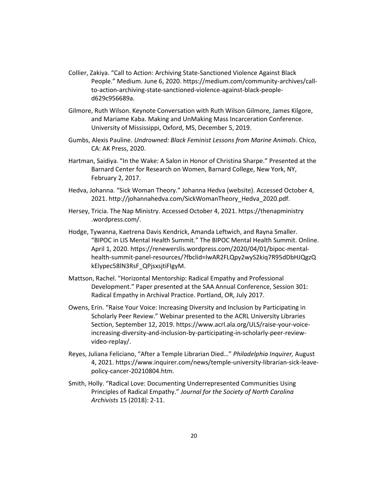- Collier, Zakiya. "Call to Action: Archiving State-Sanctioned Violence Against Black People." Medium. June 6, 2020. https://medium.com/community-archives/callto-action-archiving-state-sanctioned-violence-against-black-peopled629c956689a.
- Gilmore, Ruth Wilson. Keynote Conversation with Ruth Wilson Gilmore, James Kilgore, and Mariame Kaba. Making and UnMaking Mass Incarceration Conference. University of Mississippi, Oxford, MS, December 5, 2019.
- Gumbs, Alexis Pauline. *Undrowned: Black Feminist Lessons from Marine Animals*. Chico, CA: AK Press, 2020.
- Hartman, Saidiya. "In the Wake: A Salon in Honor of Christina Sharpe." Presented at the Barnard Center for Research on Women, Barnard College, New York, NY, February 2, 2017.
- Hedva, Johanna. "Sick Woman Theory." Johanna Hedva (website). Accessed October 4, 2021. http://johannahedva.com/SickWomanTheory\_Hedva\_2020.pdf.
- Hersey, Tricia. The Nap Ministry. Accessed October 4, 2021. https://thenapministry .wordpress.com/.
- Hodge, Tywanna, Kaetrena Davis Kendrick, Amanda Leftwich, and Rayna Smaller. "BIPOC in LIS Mental Health Summit." The BIPOC Mental Health Summit. Online. April 1, 2020. https://renewerslis.wordpress.com/2020/04/01/bipoc-mentalhealth-summit-panel-resources/?fbclid=IwAR2FLQpy2wyS2kiq7R95dDbHJQgzQ kElypec58lN3RsF\_QPjsxsjtiFIgyM.
- Mattson, Rachel. "Horizontal Mentorship: Radical Empathy and Professional Development." Paper presented at the SAA Annual Conference, Session 301: Radical Empathy in Archival Practice. Portland, OR, July 2017.
- Owens, Erin. "Raise Your Voice: Increasing Diversity and Inclusion by Participating in Scholarly Peer Review." Webinar presented to the ACRL University Libraries Section, September 12, 2019. https://www.acrl.ala.org/ULS/raise-your-voiceincreasing-diversity-and-inclusion-by-participating-in-scholarly-peer-reviewvideo-replay/.
- Reyes, Juliana Feliciano, "After a Temple Librarian Died…" *Philadelphia Inquirer,* August 4, 2021. https://www.inquirer.com/news/temple-university-librarian-sick-leavepolicy-cancer-20210804.htm.
- Smith, Holly. "Radical Love: Documenting Underrepresented Communities Using Principles of Radical Empathy." *Journal for the Society of North Carolina Archivists* 15 (2018): 2-11.